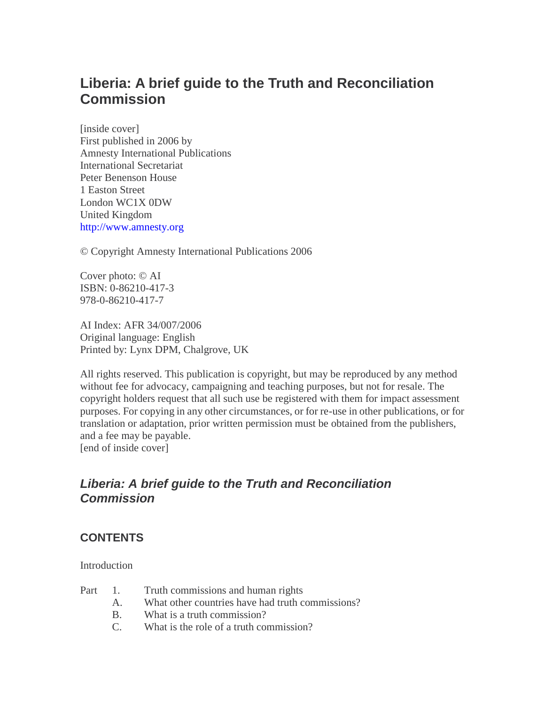# **Liberia: A brief guide to the Truth and Reconciliation Commission**

[inside cover] First published in 2006 by Amnesty International Publications International Secretariat Peter Benenson House 1 Easton Street London WC1X 0DW United Kingdom [http://www.amnesty.org](http://www.amnesty.org/)

© Copyright Amnesty International Publications 2006

Cover photo: © AI ISBN: 0-86210-417-3 978-0-86210-417-7

AI Index: AFR 34/007/2006 Original language: English Printed by: Lynx DPM, Chalgrove, UK

All rights reserved. This publication is copyright, but may be reproduced by any method without fee for advocacy, campaigning and teaching purposes, but not for resale. The copyright holders request that all such use be registered with them for impact assessment purposes. For copying in any other circumstances, or for re-use in other publications, or for translation or adaptation, prior written permission must be obtained from the publishers, and a fee may be payable. [end of inside cover]

# *Liberia: A brief guide to the Truth and Reconciliation Commission*

### **CONTENTS**

**Introduction** 

- Part 1. Truth commissions and human rights
	- A. What other countries have had truth commissions?
	- B. What is a truth commission?
	- C. What is the role of a truth commission?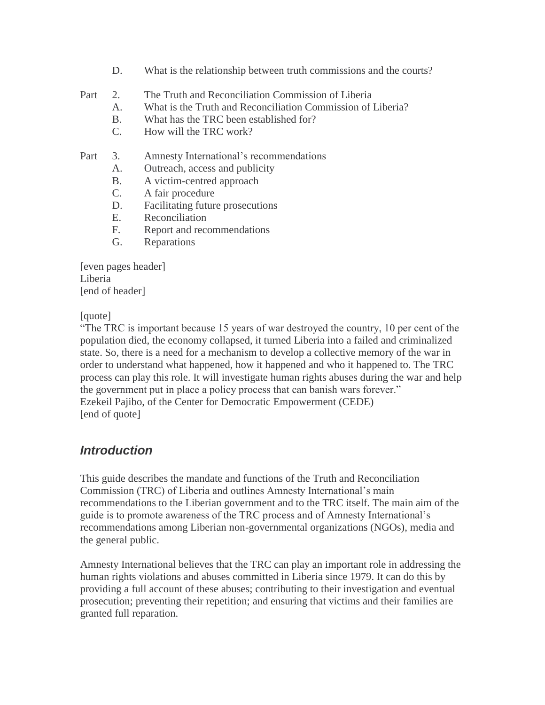- D. What is the relationship between truth commissions and the courts?
- Part 2. The Truth and Reconciliation Commission of Liberia
	- A. What is the Truth and Reconciliation Commission of Liberia?
	- B. What has the TRC been established for?
	- C. How will the TRC work?

#### Part 3. Amnesty International's recommendations

- A. Outreach, access and publicity
- B. A victim-centred approach
- C. A fair procedure
- D. Facilitating future prosecutions
- E. Reconciliation
- F. Report and recommendations
- G. Reparations

[even pages header] Liberia [end of header]

#### [quote]

"The TRC is important because 15 years of war destroyed the country, 10 per cent of the population died, the economy collapsed, it turned Liberia into a failed and criminalized state. So, there is a need for a mechanism to develop a collective memory of the war in order to understand what happened, how it happened and who it happened to. The TRC process can play this role. It will investigate human rights abuses during the war and help the government put in place a policy process that can banish wars forever." Ezekeil Pajibo, of the Center for Democratic Empowerment (CEDE) [end of quote]

# *Introduction*

This guide describes the mandate and functions of the Truth and Reconciliation Commission (TRC) of Liberia and outlines Amnesty International's main recommendations to the Liberian government and to the TRC itself. The main aim of the guide is to promote awareness of the TRC process and of Amnesty International's recommendations among Liberian non-governmental organizations (NGOs), media and the general public.

Amnesty International believes that the TRC can play an important role in addressing the human rights violations and abuses committed in Liberia since 1979. It can do this by providing a full account of these abuses; contributing to their investigation and eventual prosecution; preventing their repetition; and ensuring that victims and their families are granted full reparation.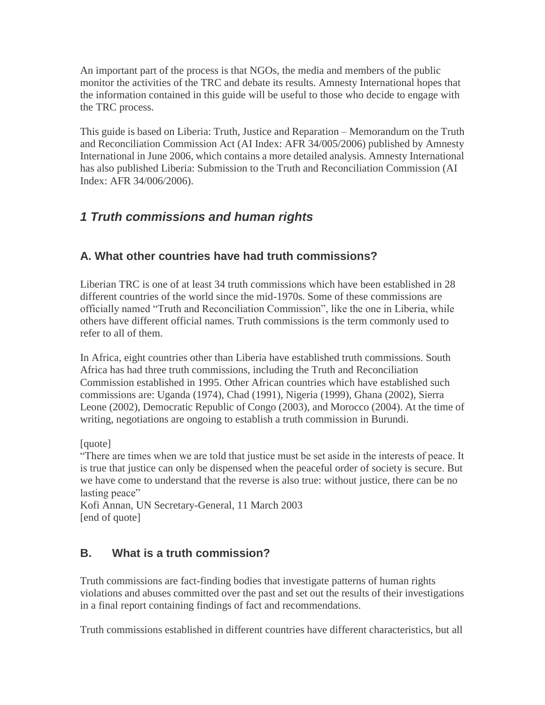An important part of the process is that NGOs, the media and members of the public monitor the activities of the TRC and debate its results. Amnesty International hopes that the information contained in this guide will be useful to those who decide to engage with the TRC process.

This guide is based on Liberia: Truth, Justice and Reparation – Memorandum on the Truth and Reconciliation Commission Act (AI Index: AFR 34/005/2006) published by Amnesty International in June 2006, which contains a more detailed analysis. Amnesty International has also published Liberia: Submission to the Truth and Reconciliation Commission (AI Index: AFR 34/006/2006).

# *1 Truth commissions and human rights*

### **A. What other countries have had truth commissions?**

Liberian TRC is one of at least 34 truth commissions which have been established in 28 different countries of the world since the mid-1970s. Some of these commissions are officially named "Truth and Reconciliation Commission", like the one in Liberia, while others have different official names. Truth commissions is the term commonly used to refer to all of them.

In Africa, eight countries other than Liberia have established truth commissions. South Africa has had three truth commissions, including the Truth and Reconciliation Commission established in 1995. Other African countries which have established such commissions are: Uganda (1974), Chad (1991), Nigeria (1999), Ghana (2002), Sierra Leone (2002), Democratic Republic of Congo (2003), and Morocco (2004). At the time of writing, negotiations are ongoing to establish a truth commission in Burundi.

[quote]

"There are times when we are told that justice must be set aside in the interests of peace. It is true that justice can only be dispensed when the peaceful order of society is secure. But we have come to understand that the reverse is also true: without justice, there can be no lasting peace"

Kofi Annan, UN Secretary-General, 11 March 2003 [end of quote]

# **B. What is a truth commission?**

Truth commissions are fact-finding bodies that investigate patterns of human rights violations and abuses committed over the past and set out the results of their investigations in a final report containing findings of fact and recommendations.

Truth commissions established in different countries have different characteristics, but all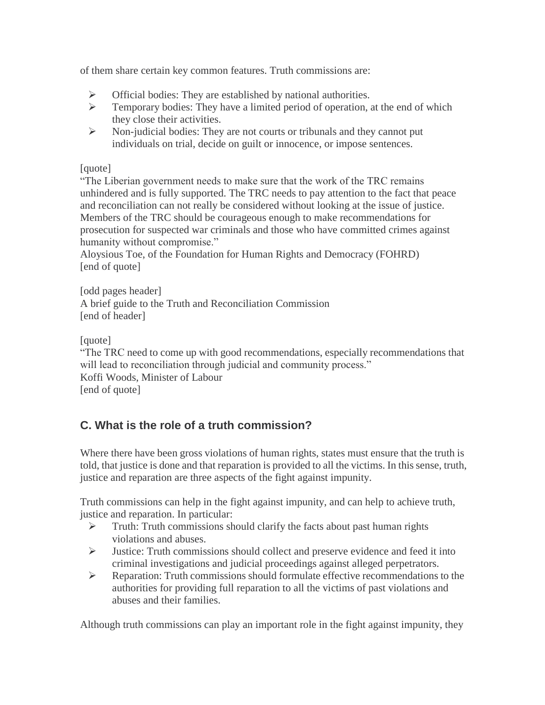of them share certain key common features. Truth commissions are:

- $\triangleright$  Official bodies: They are established by national authorities.
- $\triangleright$  Temporary bodies: They have a limited period of operation, at the end of which they close their activities.
- $\triangleright$  Non-judicial bodies: They are not courts or tribunals and they cannot put individuals on trial, decide on guilt or innocence, or impose sentences.

#### [quote]

"The Liberian government needs to make sure that the work of the TRC remains unhindered and is fully supported. The TRC needs to pay attention to the fact that peace and reconciliation can not really be considered without looking at the issue of justice. Members of the TRC should be courageous enough to make recommendations for prosecution for suspected war criminals and those who have committed crimes against humanity without compromise."

Aloysious Toe, of the Foundation for Human Rights and Democracy (FOHRD) [end of quote]

[odd pages header] A brief guide to the Truth and Reconciliation Commission [end of header]

[quote]

"The TRC need to come up with good recommendations, especially recommendations that will lead to reconciliation through judicial and community process." Koffi Woods, Minister of Labour [end of quote]

# **C. What is the role of a truth commission?**

Where there have been gross violations of human rights, states must ensure that the truth is told, that justice is done and that reparation is provided to all the victims. In this sense, truth, justice and reparation are three aspects of the fight against impunity.

Truth commissions can help in the fight against impunity, and can help to achieve truth, justice and reparation. In particular:

- $\triangleright$  Truth: Truth commissions should clarify the facts about past human rights violations and abuses.
- $\triangleright$  Justice: Truth commissions should collect and preserve evidence and feed it into criminal investigations and judicial proceedings against alleged perpetrators.
- $\triangleright$  Reparation: Truth commissions should formulate effective recommendations to the authorities for providing full reparation to all the victims of past violations and abuses and their families.

Although truth commissions can play an important role in the fight against impunity, they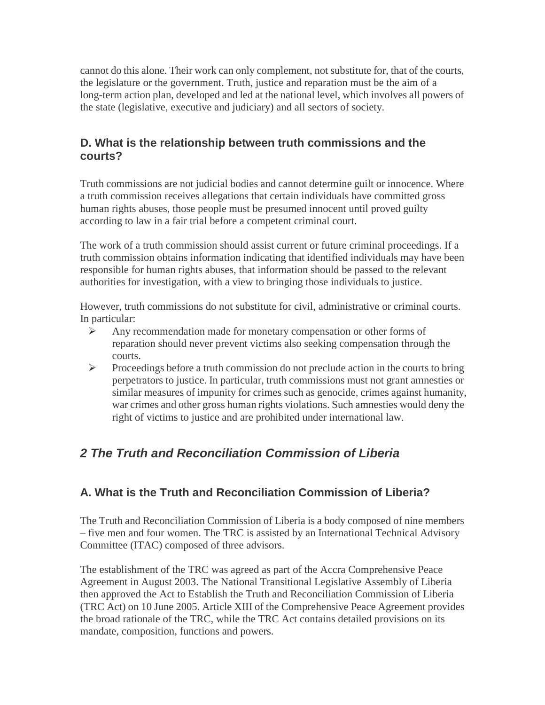cannot do this alone. Their work can only complement, not substitute for, that of the courts, the legislature or the government. Truth, justice and reparation must be the aim of a long-term action plan, developed and led at the national level, which involves all powers of the state (legislative, executive and judiciary) and all sectors of society.

#### **D. What is the relationship between truth commissions and the courts?**

Truth commissions are not judicial bodies and cannot determine guilt or innocence. Where a truth commission receives allegations that certain individuals have committed gross human rights abuses, those people must be presumed innocent until proved guilty according to law in a fair trial before a competent criminal court.

The work of a truth commission should assist current or future criminal proceedings. If a truth commission obtains information indicating that identified individuals may have been responsible for human rights abuses, that information should be passed to the relevant authorities for investigation, with a view to bringing those individuals to justice.

However, truth commissions do not substitute for civil, administrative or criminal courts. In particular:

- $\triangleright$  Any recommendation made for monetary compensation or other forms of reparation should never prevent victims also seeking compensation through the courts.
- $\triangleright$  Proceedings before a truth commission do not preclude action in the courts to bring perpetrators to justice. In particular, truth commissions must not grant amnesties or similar measures of impunity for crimes such as genocide, crimes against humanity, war crimes and other gross human rights violations. Such amnesties would deny the right of victims to justice and are prohibited under international law.

# *2 The Truth and Reconciliation Commission of Liberia*

### **A. What is the Truth and Reconciliation Commission of Liberia?**

The Truth and Reconciliation Commission of Liberia is a body composed of nine members – five men and four women. The TRC is assisted by an International Technical Advisory Committee (ITAC) composed of three advisors.

The establishment of the TRC was agreed as part of the Accra Comprehensive Peace Agreement in August 2003. The National Transitional Legislative Assembly of Liberia then approved the Act to Establish the Truth and Reconciliation Commission of Liberia (TRC Act) on 10 June 2005. Article XIII of the Comprehensive Peace Agreement provides the broad rationale of the TRC, while the TRC Act contains detailed provisions on its mandate, composition, functions and powers.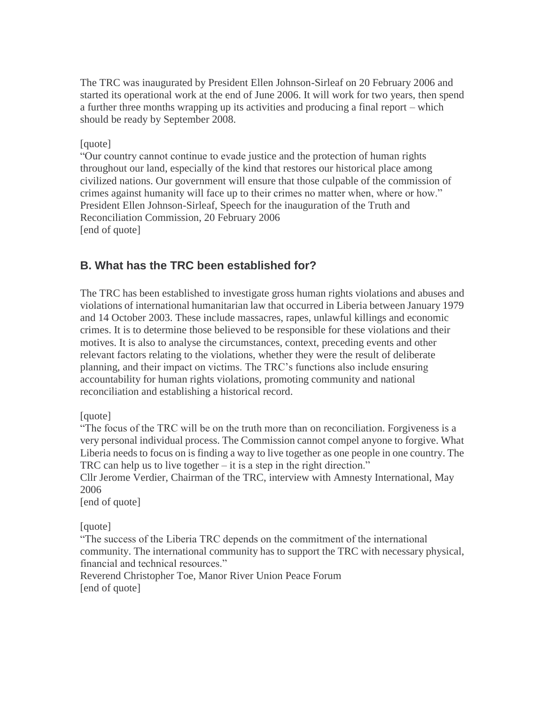The TRC was inaugurated by President Ellen Johnson-Sirleaf on 20 February 2006 and started its operational work at the end of June 2006. It will work for two years, then spend a further three months wrapping up its activities and producing a final report – which should be ready by September 2008.

#### [quote]

"Our country cannot continue to evade justice and the protection of human rights throughout our land, especially of the kind that restores our historical place among civilized nations. Our government will ensure that those culpable of the commission of crimes against humanity will face up to their crimes no matter when, where or how." President Ellen Johnson-Sirleaf, Speech for the inauguration of the Truth and Reconciliation Commission, 20 February 2006 [end of quote]

### **B. What has the TRC been established for?**

The TRC has been established to investigate gross human rights violations and abuses and violations of international humanitarian law that occurred in Liberia between January 1979 and 14 October 2003. These include massacres, rapes, unlawful killings and economic crimes. It is to determine those believed to be responsible for these violations and their motives. It is also to analyse the circumstances, context, preceding events and other relevant factors relating to the violations, whether they were the result of deliberate planning, and their impact on victims. The TRC's functions also include ensuring accountability for human rights violations, promoting community and national reconciliation and establishing a historical record.

#### [quote]

"The focus of the TRC will be on the truth more than on reconciliation. Forgiveness is a very personal individual process. The Commission cannot compel anyone to forgive. What Liberia needs to focus on is finding a way to live together as one people in one country. The TRC can help us to live together – it is a step in the right direction."

Cllr Jerome Verdier, Chairman of the TRC, interview with Amnesty International, May 2006

[end of quote]

[quote]

"The success of the Liberia TRC depends on the commitment of the international community. The international community has to support the TRC with necessary physical, financial and technical resources."

Reverend Christopher Toe, Manor River Union Peace Forum [end of quote]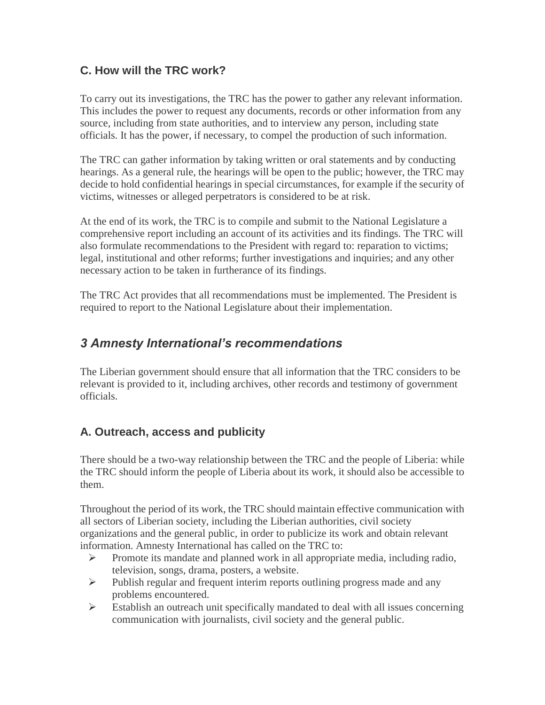### **C. How will the TRC work?**

To carry out its investigations, the TRC has the power to gather any relevant information. This includes the power to request any documents, records or other information from any source, including from state authorities, and to interview any person, including state officials. It has the power, if necessary, to compel the production of such information.

The TRC can gather information by taking written or oral statements and by conducting hearings. As a general rule, the hearings will be open to the public; however, the TRC may decide to hold confidential hearings in special circumstances, for example if the security of victims, witnesses or alleged perpetrators is considered to be at risk.

At the end of its work, the TRC is to compile and submit to the National Legislature a comprehensive report including an account of its activities and its findings. The TRC will also formulate recommendations to the President with regard to: reparation to victims; legal, institutional and other reforms; further investigations and inquiries; and any other necessary action to be taken in furtherance of its findings.

The TRC Act provides that all recommendations must be implemented. The President is required to report to the National Legislature about their implementation.

# *3 Amnesty International's recommendations*

The Liberian government should ensure that all information that the TRC considers to be relevant is provided to it, including archives, other records and testimony of government officials.

# **A. Outreach, access and publicity**

There should be a two-way relationship between the TRC and the people of Liberia: while the TRC should inform the people of Liberia about its work, it should also be accessible to them.

Throughout the period of its work, the TRC should maintain effective communication with all sectors of Liberian society, including the Liberian authorities, civil society organizations and the general public, in order to publicize its work and obtain relevant information. Amnesty International has called on the TRC to:

- $\triangleright$  Promote its mandate and planned work in all appropriate media, including radio, television, songs, drama, posters, a website.
- $\triangleright$  Publish regular and frequent interim reports outlining progress made and any problems encountered.
- $\triangleright$  Establish an outreach unit specifically mandated to deal with all issues concerning communication with journalists, civil society and the general public.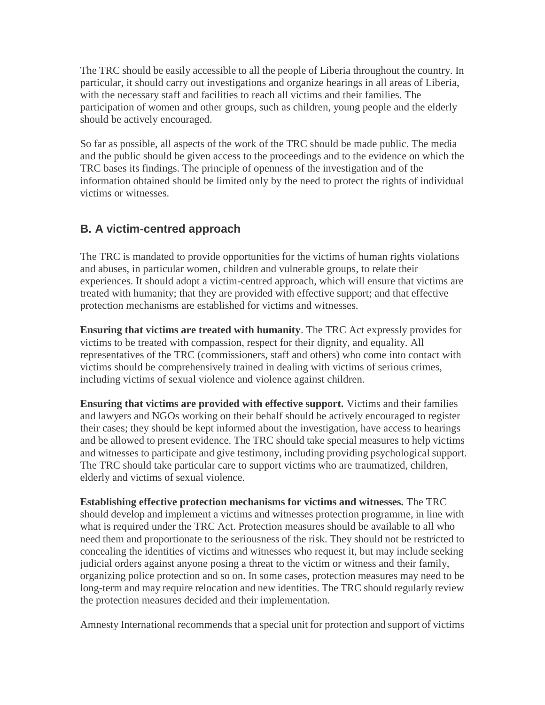The TRC should be easily accessible to all the people of Liberia throughout the country. In particular, it should carry out investigations and organize hearings in all areas of Liberia, with the necessary staff and facilities to reach all victims and their families. The participation of women and other groups, such as children, young people and the elderly should be actively encouraged.

So far as possible, all aspects of the work of the TRC should be made public. The media and the public should be given access to the proceedings and to the evidence on which the TRC bases its findings. The principle of openness of the investigation and of the information obtained should be limited only by the need to protect the rights of individual victims or witnesses.

### **B. A victim-centred approach**

The TRC is mandated to provide opportunities for the victims of human rights violations and abuses, in particular women, children and vulnerable groups, to relate their experiences. It should adopt a victim-centred approach, which will ensure that victims are treated with humanity; that they are provided with effective support; and that effective protection mechanisms are established for victims and witnesses.

**Ensuring that victims are treated with humanity**. The TRC Act expressly provides for victims to be treated with compassion, respect for their dignity, and equality. All representatives of the TRC (commissioners, staff and others) who come into contact with victims should be comprehensively trained in dealing with victims of serious crimes, including victims of sexual violence and violence against children.

**Ensuring that victims are provided with effective support.** Victims and their families and lawyers and NGOs working on their behalf should be actively encouraged to register their cases; they should be kept informed about the investigation, have access to hearings and be allowed to present evidence. The TRC should take special measures to help victims and witnesses to participate and give testimony, including providing psychological support. The TRC should take particular care to support victims who are traumatized, children, elderly and victims of sexual violence.

**Establishing effective protection mechanisms for victims and witnesses.** The TRC should develop and implement a victims and witnesses protection programme, in line with what is required under the TRC Act. Protection measures should be available to all who need them and proportionate to the seriousness of the risk. They should not be restricted to concealing the identities of victims and witnesses who request it, but may include seeking judicial orders against anyone posing a threat to the victim or witness and their family, organizing police protection and so on. In some cases, protection measures may need to be long-term and may require relocation and new identities. The TRC should regularly review the protection measures decided and their implementation.

Amnesty International recommends that a special unit for protection and support of victims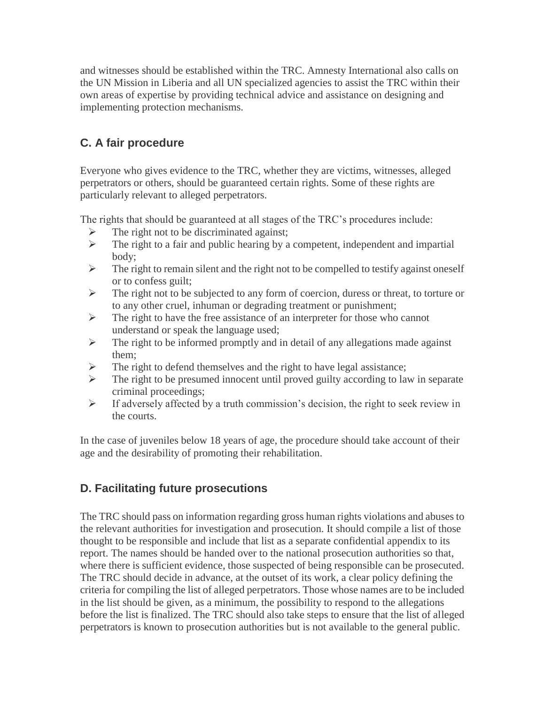and witnesses should be established within the TRC. Amnesty International also calls on the UN Mission in Liberia and all UN specialized agencies to assist the TRC within their own areas of expertise by providing technical advice and assistance on designing and implementing protection mechanisms.

# **C. A fair procedure**

Everyone who gives evidence to the TRC, whether they are victims, witnesses, alleged perpetrators or others, should be guaranteed certain rights. Some of these rights are particularly relevant to alleged perpetrators.

The rights that should be guaranteed at all stages of the TRC's procedures include:

- $\triangleright$  The right not to be discriminated against;
- $\triangleright$  The right to a fair and public hearing by a competent, independent and impartial body;
- $\triangleright$  The right to remain silent and the right not to be compelled to testify against oneself or to confess guilt;
- $\triangleright$  The right not to be subjected to any form of coercion, duress or threat, to torture or to any other cruel, inhuman or degrading treatment or punishment;
- $\triangleright$  The right to have the free assistance of an interpreter for those who cannot understand or speak the language used;
- $\triangleright$  The right to be informed promptly and in detail of any allegations made against them;
- $\triangleright$  The right to defend themselves and the right to have legal assistance;
- $\triangleright$  The right to be presumed innocent until proved guilty according to law in separate criminal proceedings;
- $\triangleright$  If adversely affected by a truth commission's decision, the right to seek review in the courts.

In the case of juveniles below 18 years of age, the procedure should take account of their age and the desirability of promoting their rehabilitation.

# **D. Facilitating future prosecutions**

The TRC should pass on information regarding gross human rights violations and abuses to the relevant authorities for investigation and prosecution. It should compile a list of those thought to be responsible and include that list as a separate confidential appendix to its report. The names should be handed over to the national prosecution authorities so that, where there is sufficient evidence, those suspected of being responsible can be prosecuted. The TRC should decide in advance, at the outset of its work, a clear policy defining the criteria for compiling the list of alleged perpetrators. Those whose names are to be included in the list should be given, as a minimum, the possibility to respond to the allegations before the list is finalized. The TRC should also take steps to ensure that the list of alleged perpetrators is known to prosecution authorities but is not available to the general public.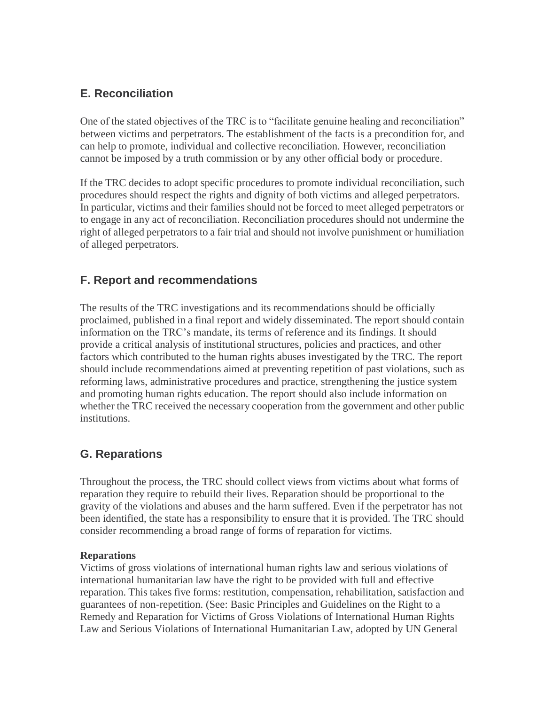### **E. Reconciliation**

One of the stated objectives of the TRC is to "facilitate genuine healing and reconciliation" between victims and perpetrators. The establishment of the facts is a precondition for, and can help to promote, individual and collective reconciliation. However, reconciliation cannot be imposed by a truth commission or by any other official body or procedure.

If the TRC decides to adopt specific procedures to promote individual reconciliation, such procedures should respect the rights and dignity of both victims and alleged perpetrators. In particular, victims and their families should not be forced to meet alleged perpetrators or to engage in any act of reconciliation. Reconciliation procedures should not undermine the right of alleged perpetrators to a fair trial and should not involve punishment or humiliation of alleged perpetrators.

### **F. Report and recommendations**

The results of the TRC investigations and its recommendations should be officially proclaimed, published in a final report and widely disseminated. The report should contain information on the TRC's mandate, its terms of reference and its findings. It should provide a critical analysis of institutional structures, policies and practices, and other factors which contributed to the human rights abuses investigated by the TRC. The report should include recommendations aimed at preventing repetition of past violations, such as reforming laws, administrative procedures and practice, strengthening the justice system and promoting human rights education. The report should also include information on whether the TRC received the necessary cooperation from the government and other public institutions.

# **G. Reparations**

Throughout the process, the TRC should collect views from victims about what forms of reparation they require to rebuild their lives. Reparation should be proportional to the gravity of the violations and abuses and the harm suffered. Even if the perpetrator has not been identified, the state has a responsibility to ensure that it is provided. The TRC should consider recommending a broad range of forms of reparation for victims.

#### **Reparations**

Victims of gross violations of international human rights law and serious violations of international humanitarian law have the right to be provided with full and effective reparation. This takes five forms: restitution, compensation, rehabilitation, satisfaction and guarantees of non-repetition. (See: Basic Principles and Guidelines on the Right to a Remedy and Reparation for Victims of Gross Violations of International Human Rights Law and Serious Violations of International Humanitarian Law, adopted by UN General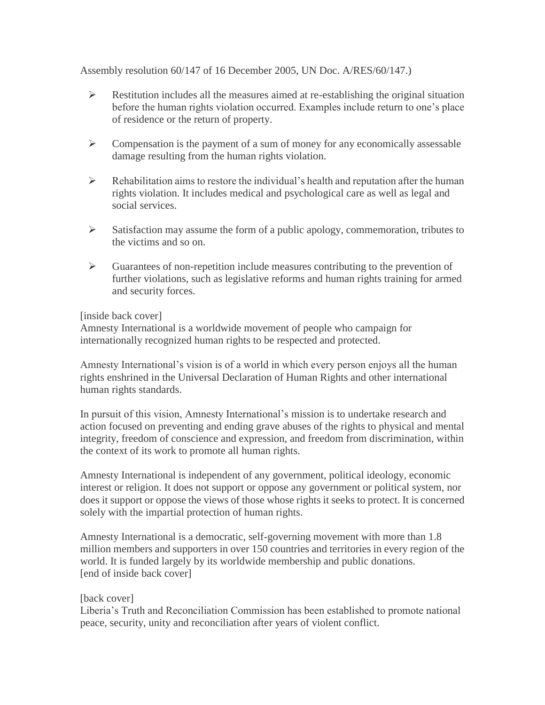Assembly resolution 60/147 of 16 December 2005, UN Doc. A/RES/60/147.)

- $\triangleright$  Restitution includes all the measures aimed at re-establishing the original situation before the human rights violation occurred. Examples include return to one's place of residence or the return of property.
- $\triangleright$  Compensation is the payment of a sum of money for any economically assessable damage resulting from the human rights violation.
- $\triangleright$  Rehabilitation aims to restore the individual's health and reputation after the human rights violation. It includes medical and psychological care as well as legal and social services.
- $\triangleright$  Satisfaction may assume the form of a public apology, commemoration, tributes to the victims and so on.
- $\triangleright$  Guarantees of non-repetition include measures contributing to the prevention of further violations, such as legislative reforms and human rights training for armed and security forces.

#### [inside back cover]

Amnesty International is a worldwide movement of people who campaign for internationally recognized human rights to be respected and protected.

Amnesty International's vision is of a world in which every person enjoys all the human rights enshrined in the Universal Declaration of Human Rights and other international human rights standards.

In pursuit of this vision, Amnesty International's mission is to undertake research and action focused on preventing and ending grave abuses of the rights to physical and mental integrity, freedom of conscience and expression, and freedom from discrimination, within the context of its work to promote all human rights.

Amnesty International is independent of any government, political ideology, economic interest or religion. It does not support or oppose any government or political system, nor does it support or oppose the views of those whose rights it seeks to protect. It is concerned solely with the impartial protection of human rights.

Amnesty International is a democratic, self-governing movement with more than 1.8 million members and supporters in over 150 countries and territories in every region of the world. It is funded largely by its worldwide membership and public donations. [end of inside back cover]

#### [back cover]

Liberia's Truth and Reconciliation Commission has been established to promote national peace, security, unity and reconciliation after years of violent conflict.